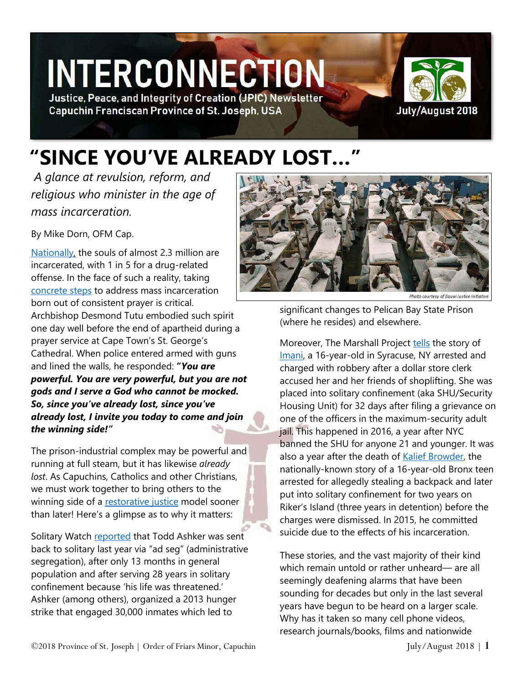# **INTERCONNECTION**

Justice, Peace, and Integrity of Creation (JPIC) Newsletter **Capuchin Franciscan Province of St. Joseph, USA** 



## **"SINCE YOU'VE ALREADY LOST…"**

*A glance at revulsion, reform, and religious who minister in the age of mass incarceration.* 

By Mike Dorn, OFM Cap.

[Nationally,](https://www.prisonpolicy.org/reports/pie2018.html) the souls of almost 2.3 million are incarcerated, with 1 in 5 for a drug-related offense. In the face of such a reality, taking [concrete steps](https://www.brennancenter.org/blog/four-things-we-can-do-end-mass-incarceration) to address mass incarceration born out of consistent prayer is critical. Archbishop Desmond Tutu embodied such spirit one day well before the end of apartheid during a prayer service at Cape Town's St. George's Cathedral. When police entered armed with guns and lined the walls, he responded: **"***You are powerful. You are very powerful, but you are not gods and I serve a God who cannot be mocked. So, since you've already lost, since you've already lost, I invite you today to come and join the winning side!"*

The prison-industrial complex may be powerful and running at full steam, but it has likewise *already lost*. As Capuchins, Catholics and other Christians, we must work together to bring others to the winning side of a [restorative justice](http://www.usccb.org/issues-and-action/human-life-and-dignity/criminal-justice-restorative-justice/crime-and-criminal-justice.cfm) model sooner than later! Here's a glimpse as to why it matters:

Solitary Watch [reported](http://solitarywatch.com/2018/07/13/as-long-as-solitary-exists-they-will-find-a-way-to-use-it-five-years-after-californias-prison-hunger-strike/) that Todd Ashker was sent back to solitary last year via "ad seg" (administrative segregation), after only 13 months in general population and after serving 28 years in solitary confinement because 'his life was threatened.' Ashker (among others), organized a 2013 hunger strike that engaged 30,000 inmates which led to



significant changes to Pelican Bay State Prison (where he resides) and elsewhere.

Moreover, The Marshall Project [tells](https://www.themarshallproject.org/2018/03/28/rikers-doesn-t-put-teens-in-solitary-other-new-york-jails-do?ref=collections) the story of [Imani,](https://www.youtube.com/watch?v=zsDUXa5q-So) a 16-year-old in Syracuse, NY arrested and charged with robbery after a dollar store clerk accused her and her friends of shoplifting. She was placed into solitary confinement (aka SHU/Security Housing Unit) for 32 days after filing a grievance on one of the officers in the maximum-security adult jail. This happened in 2016, a year after NYC banned the SHU for anyone 21 and younger. It was also a year after the death of [Kalief Browder,](https://www.newyorker.com/magazine/2014/10/06/before-the-law) the nationally-known story of a 16-year-old Bronx teen arrested for allegedly stealing a backpack and later put into solitary confinement for two years on Riker's Island (three years in detention) before the charges were dismissed. In 2015, he committed suicide due to the effects of his incarceration.

These stories, and the vast majority of their kind which remain untold or rather unheard— are all seemingly deafening alarms that have been sounding for decades but only in the last several years have begun to be heard on a larger scale. Why has it taken so many cell phone videos, research journals/books, films and nationwide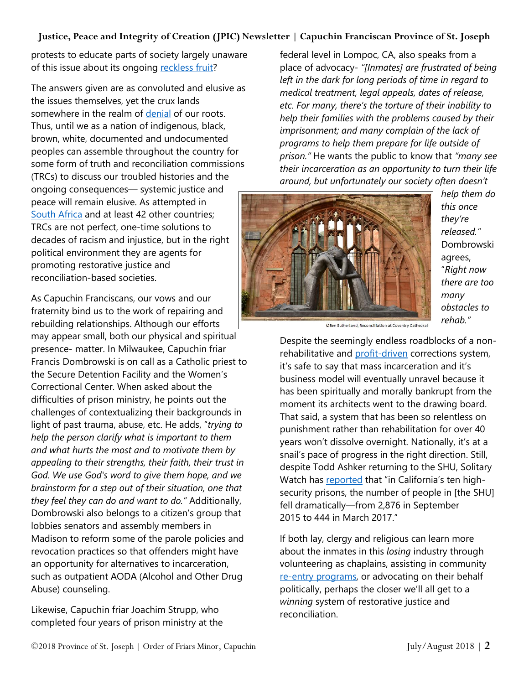#### **Justice, Peace and Integrity of Creation (JPIC) Newsletter | Capuchin Franciscan Province of St. Joseph**

protests to educate parts of society largely unaware of this issue about its ongoing [reckless fruit?](https://newrepublic.com/article/134712/wounds-incarceration-never-heal)

The answers given are as convoluted and elusive as the issues themselves, yet the crux lands somewhere in the realm of [denial](https://www.youtube.com/watch?v=J3Xe1kX7Wsc) of our roots. Thus, until we as a nation of indigenous, black, brown, white, documented and undocumented peoples can assemble throughout the country for some form of truth and reconciliation commissions (TRCs) to discuss our troubled histories and the ongoing consequences— systemic justice and peace will remain elusive. As attempted in [South Africa](https://www.news24.com/Columnists/EleanorduPlooy/why-talking-about-the-trc-is-still-important-20-years-later-20180724) and at least 42 other countries; TRCs are not perfect, one-time solutions to decades of racism and injustice, but in the right political environment they are agents for promoting restorative justice and reconciliation-based societies.

As Capuchin Franciscans, our vows and our fraternity bind us to the work of repairing and rebuilding relationships. Although our efforts may appear small, both our physical and spiritual presence- matter. In Milwaukee, Capuchin friar Francis Dombrowski is on call as a Catholic priest to the Secure Detention Facility and the Women's Correctional Center. When asked about the difficulties of prison ministry, he points out the challenges of contextualizing their backgrounds in light of past trauma, abuse, etc. He adds, "*trying to help the person clarify what is important to them and what hurts the most and to motivate them by appealing to their strengths, their faith, their trust in God. We use God's word to give them hope, and we brainstorm for a step out of their situation, one that they feel they can do and want to do."* Additionally, Dombrowski also belongs to a citizen's group that lobbies senators and assembly members in Madison to reform some of the parole policies and revocation practices so that offenders might have an opportunity for alternatives to incarceration, such as outpatient AODA (Alcohol and Other Drug Abuse) counseling.

Likewise, Capuchin friar Joachim Strupp, who completed four years of prison ministry at the

federal level in Lompoc, CA, also speaks from a place of advocacy- *"[Inmates] are frustrated of being left in the dark for long periods of time in regard to medical treatment, legal appeals, dates of release, etc. For many, there's the torture of their inability to help their families with the problems caused by their imprisonment; and many complain of the lack of programs to help them prepare for life outside of prison."* He wants the public to know that *"many see their incarceration as an opportunity to turn their life around, but unfortunately our society often doesn't* 



*help them do this once they're released."* Dombrowski agrees, "*Right now there are too many obstacles to rehab."*

@Ben Sutherland, Reconciliation at Coventry Cathedral

Despite the seemingly endless roadblocks of a nonrehabilitative and [profit-driven](https://www.newyorker.com/business/currency/making-profits-on-the-captive-prison-market) corrections system, it's safe to say that mass incarceration and it's business model will eventually unravel because it has been spiritually and morally bankrupt from the moment its architects went to the drawing board. That said, a system that has been so relentless on punishment rather than rehabilitation for over 40 years won't dissolve overnight. Nationally, it's at a snail's pace of progress in the right direction. Still, despite Todd Ashker returning to the SHU, Solitary Watch has [reported](http://solitarywatch.com/2018/07/13/as-long-as-solitary-exists-they-will-find-a-way-to-use-it-five-years-after-californias-prison-hunger-strike/) that "in California's ten highsecurity prisons, the number of people in [the SHU] fell dramatically—from 2,876 in September 2015 to 444 in March 2017."

If both lay, clergy and religious can learn more about the inmates in this *losing* industry through volunteering as chaplains, assisting in community re-entry [programs,](https://csgjusticecenter.org/nrrc/) or advocating on their behalf politically, perhaps the closer we'll all get to a *winning* system of restorative justice and reconciliation.